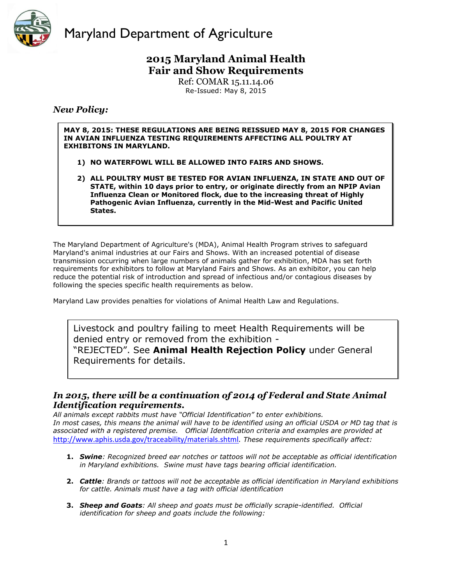

### **2015 Maryland Animal Health Fair and Show Requirements**

Ref: COMAR 15.11.14.06 Re-Issued: May 8, 2015

#### *New Policy:*

**MAY 8, 2015: THESE REGULATIONS ARE BEING REISSUED MAY 8, 2015 FOR CHANGES IN AVIAN INFLUENZA TESTING REQUIREMENTS AFFECTING ALL POULTRY AT EXHIBITONS IN MARYLAND.** 

- **1) NO WATERFOWL WILL BE ALLOWED INTO FAIRS AND SHOWS.**
- **2) ALL POULTRY MUST BE TESTED FOR AVIAN INFLUENZA, IN STATE AND OUT OF STATE, within 10 days prior to entry, or originate directly from an NPIP Avian Influenza Clean or Monitored flock, due to the increasing threat of Highly Pathogenic Avian Influenza, currently in the Mid-West and Pacific United States.**

The Maryland Department of Agriculture's (MDA), Animal Health Program strives to safeguard Maryland's animal industries at our Fairs and Shows. With an increased potential of disease transmission occurring when large numbers of animals gather for exhibition, MDA has set forth requirements for exhibitors to follow at Maryland Fairs and Shows. As an exhibitor, you can help reduce the potential risk of introduction and spread of infectious and/or contagious diseases by following the species specific health requirements as below.

Maryland Law provides penalties for violations of Animal Health Law and Regulations.

Livestock and poultry failing to meet Health Requirements will be denied entry or removed from the exhibition - "REJECTED". See **[Animal Health Rejection Policy](http://mda.maryland.gov/animalHealth/Documents/rejection_policy.pdf)** under General

Requirements for details.

#### *In 2015, there will be a continuation of 2014 of Federal and State Animal Identification requirements.*

*All animals except rabbits must have "Official Identification" to enter exhibitions. In most cases, this means the animal will have to be identified using an official USDA or MD tag that is associated with a registered premise. Official Identification criteria and examples are provided at*  <http://www.aphis.usda.gov/traceability/materials.shtml>*. These requirements specifically affect:*

- **1.** *Swine: Recognized breed ear notches or tattoos will not be acceptable as official identification in Maryland exhibitions. Swine must have tags bearing official identification.*
- **2.** *Cattle: Brands or tattoos will not be acceptable as official identification in Maryland exhibitions for cattle. Animals must have a tag with official identification*
- **3.** *Sheep and Goats: All sheep and goats must be officially scrapie-identified. Official identification for sheep and goats include the following:*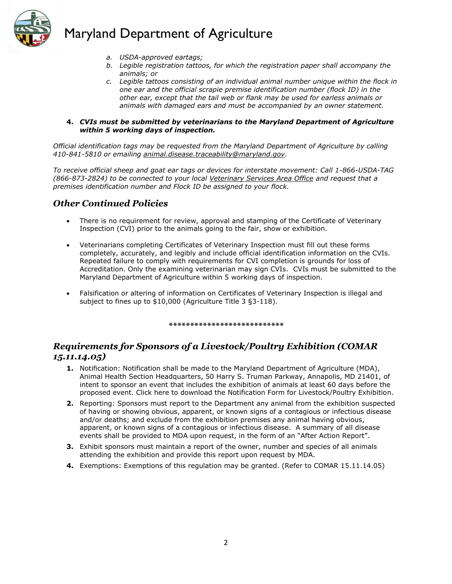

- *a. USDA-approved eartags;*
- *b. Legible registration tattoos, for which the registration paper shall accompany the animals; or*
- *c. Legible tattoos consisting of an individual animal number unique within the flock in one ear and the official scrapie premise identification number (flock ID) in the other ear, except that the tail web or flank may be used for earless animals or animals with damaged ears and must be accompanied by an owner statement.*

#### **4.** *CVIs must be submitted by veterinarians to the Maryland Department of Agriculture within 5 working days of inspection.*

*Official identification tags may be requested from the Maryland Department of Agriculture by calling 410-841-5810 or emailing [animal.disease.traceability@maryland.gov.](mailto:animal.disease.traceability@maryland.gov)* 

*To receive official sheep and goat ear tags or devices for interstate movement: Call 1-866-USDA-TAG (866-873-2824) to be connected to your local [Veterinary Services Area Office](http://www.aphis.usda.gov/animal_health/area_offices/) and request that a premises identification number and Flock ID be assigned to your flock.*

#### *Other Continued Policies*

- There is no requirement for review, approval and stamping of the Certificate of Veterinary Inspection (CVI) prior to the animals going to the fair, show or exhibition.
- Veterinarians completing Certificates of Veterinary Inspection must fill out these forms completely, accurately, and legibly and include official identification information on the CVIs. Repeated failure to comply with requirements for CVI completion is grounds for loss of Accreditation. Only the examining veterinarian may sign CVIs. CVIs must be submitted to the Maryland Department of Agriculture within 5 working days of inspection.
- Falsification or altering of information on Certificates of Veterinary Inspection is illegal and subject to fines up to \$10,000 (Agriculture Title 3 §3-118).

*\*\*\*\*\*\*\*\*\*\*\*\*\*\*\*\*\*\*\*\*\*\*\*\*\*\*\**

#### *Requirements for Sponsors of a Livestock/Poultry Exhibition (COMAR 15.11.14.05)*

- **1.** Notification: Notification shall be made to the Maryland Department of Agriculture (MDA), Animal Health Section Headquarters, 50 Harry S. Truman Parkway, Annapolis, MD 21401, of intent to sponsor an event that includes the exhibition of animals at least 60 days before the proposed event. Click here to download the Notification Form for Livestock/Poultry Exhibition.
- **2.** Reporting: Sponsors must report to the Department any animal from the exhibition suspected of having or showing obvious, apparent, or known signs of a contagious or infectious disease and/or deaths; and exclude from the exhibition premises any animal having obvious, apparent, or known signs of a contagious or infectious disease. A summary of all disease events shall be provided to MDA upon request, in the form of an "After Action Report".
- **3.** Exhibit sponsors must maintain a report of the owner, number and species of all animals attending the exhibition and provide this report upon request by MDA.
- **4.** Exemptions: Exemptions of this regulation may be granted. (Refer to COMAR 15.11.14.05)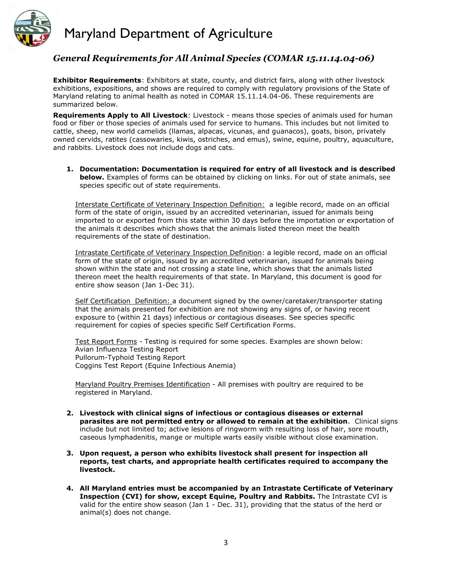

#### *General Requirements for All Animal Species (COMAR 15.11.14.04-06)*

**Exhibitor Requirements**: Exhibitors at state, county, and district fairs, along with other livestock exhibitions, expositions, and shows are required to comply with regulatory provisions of the State of Maryland relating to animal health as noted in COMAR 15.11.14.04-06. These requirements are summarized below.

**Requirements Apply to All Livestock**: Livestock - means those species of animals used for human food or fiber or those species of animals used for service to humans. This includes but not limited to cattle, sheep, new world camelids (llamas, alpacas, vicunas, and guanacos), goats, bison, privately owned cervids, ratites (cassowaries, kiwis, ostriches, and emus), swine, equine, poultry, aquaculture, and rabbits. Livestock does not include dogs and cats.

**1. Documentation: Documentation is required for entry of all livestock and is described below.** Examples of forms can be obtained by clicking on links. For out of state animals, see species specific out of state requirements.

Interstate Certificate of Veterinary Inspection Definition: a legible record, made on an official form of the state of origin, issued by an accredited veterinarian, issued for animals being imported to or exported from this state within 30 days before the importation or exportation of the animals it describes which shows that the animals listed thereon meet the health requirements of the state of destination.

Intrastate Certificate of Veterinary Inspection Definition: a legible record, made on an official form of the state of origin, issued by an accredited veterinarian, issued for animals being shown within the state and not crossing a state line, which shows that the animals listed thereon meet the health requirements of that state. In Maryland, this document is good for entire show season (Jan 1-Dec 31).

Self Certification Definition: a document signed by the owner/caretaker/transporter stating that the animals presented for exhibition are not showing any signs of, or having recent exposure to (within 21 days) infectious or contagious diseases. See species specific requirement for copies of species specific Self Certification Forms.

Test Report Forms - Testing is required for some species. Examples are shown below: Avian Influenza Testing Report Pullorum-Typhoid Testing Report Coggins Test Report (Equine Infectious Anemia)

Maryland Poultry Premises Identification - All premises with poultry are required to be registered in Maryland.

- **2. Livestock with clinical signs of infectious or contagious diseases or external parasites are not permitted entry or allowed to remain at the exhibition**. Clinical signs include but not limited to; active lesions of ringworm with resulting loss of hair, sore mouth, caseous lymphadenitis, mange or multiple warts easily visible without close examination.
- **3. Upon request, a person who exhibits livestock shall present for inspection all reports, test charts, and appropriate health certificates required to accompany the livestock.**
- **4. All Maryland entries must be accompanied by an Intrastate Certificate of Veterinary Inspection (CVI) for show, except Equine, Poultry and Rabbits.** The Intrastate CVI is valid for the entire show season (Jan 1 - Dec. 31), providing that the status of the herd or animal(s) does not change.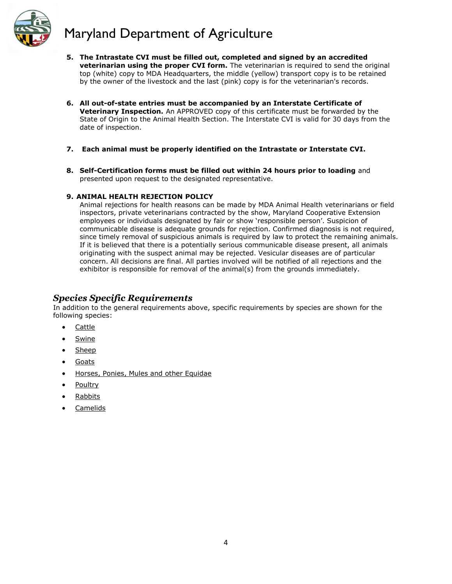

- **5. The Intrastate CVI must be filled out, completed and signed by an accredited veterinarian using the proper CVI form.** The veterinarian is required to send the original top (white) copy to MDA Headquarters, the middle (yellow) transport copy is to be retained by the owner of the livestock and the last (pink) copy is for the veterinarian's records.
- **6. All out-of-state entries must be accompanied by an Interstate Certificate of Veterinary Inspection.** An APPROVED copy of this certificate must be forwarded by the State of Origin to the Animal Health Section. The Interstate CVI is valid for 30 days from the date of inspection.
- **7. Each animal must be properly identified on the Intrastate or Interstate CVI.**
- **8. Self-Certification forms must be filled out within 24 hours prior to loading** and presented upon request to the designated representative.

#### **9. ANIMAL HEALTH REJECTION POLICY**

Animal rejections for health reasons can be made by MDA Animal Health veterinarians or field inspectors, private veterinarians contracted by the show, Maryland Cooperative Extension employees or individuals designated by fair or show 'responsible person'. Suspicion of communicable disease is adequate grounds for rejection. Confirmed diagnosis is not required, since timely removal of suspicious animals is required by law to protect the remaining animals. If it is believed that there is a potentially serious communicable disease present, all animals originating with the suspect animal may be rejected. Vesicular diseases are of particular concern. All decisions are final. All parties involved will be notified of all rejections and the exhibitor is responsible for removal of the animal(s) from the grounds immediately.

#### *Species Specific Requirements*

In addition to the general requirements above, specific requirements by species are shown for the following species:

- **[Cattle](http://mda.maryland.gov/animalHealth/Pages/fairs-cattle.aspx)**
- **[Swine](http://mda.maryland.gov/animalHealth/Pages/fairs-swine.aspx)**
- [Sheep](http://mda.maryland.gov/animalHealth/Pages/fairs-sheep-goats.aspx)
- **[Goats](http://mda.maryland.gov/animalHealth/Pages/fairs-sheep-goats.aspx)**
- [Horses, Ponies, Mules and other Equidae](http://mda.maryland.gov/animalHealth/Pages/Fairs-Horses.aspx)
- [Poultry](http://mda.maryland.gov/animalHealth/Pages/fairs-poultry.aspx)
- [Rabbits](http://mda.maryland.gov/animalHealth/Pages/fairs-rabbits.aspx)
- [Camelids](http://mda.maryland.gov/animalHealth/Pages/fairs-camelids.aspx)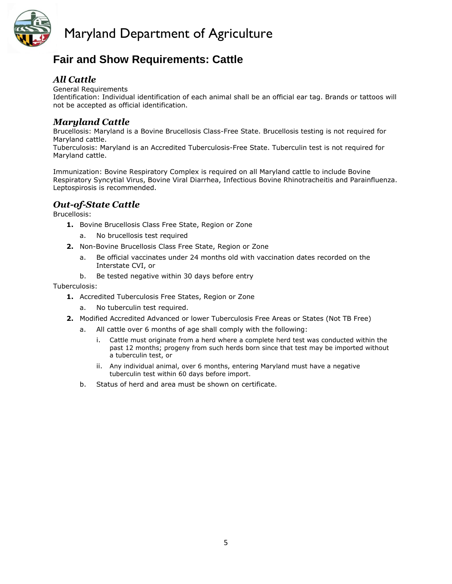

## **Fair and Show Requirements: Cattle**

### *All Cattle*

[General Requirements](http://mda.maryland.gov/animalHealth/Pages/Fairs-Shows.aspx) Identification: Individual identification of each animal shall be an official ear tag. Brands or tattoos will not be accepted as official identification.

#### *Maryland Cattle*

Brucellosis: Maryland is a Bovine Brucellosis Class-Free State. Brucellosis testing is not required for Maryland cattle.

Tuberculosis: Maryland is an Accredited Tuberculosis-Free State. Tuberculin test is not required for Maryland cattle.

Immunization: Bovine Respiratory Complex is required on all Maryland cattle to include Bovine Respiratory Syncytial Virus, Bovine Viral Diarrhea, Infectious Bovine Rhinotracheitis and Parainfluenza. Leptospirosis is recommended.

### *Out-of-State Cattle*

Brucellosis:

- **1.** Bovine Brucellosis Class Free State, Region or Zone
	- a. No brucellosis test required
- **2.** Non-Bovine Brucellosis Class Free State, Region or Zone
	- a. Be official vaccinates under 24 months old with vaccination dates recorded on the Interstate CVI, or
	- b. Be tested negative within 30 days before entry

#### Tuberculosis:

- **1.** Accredited Tuberculosis Free States, Region or Zone
	- a. No tuberculin test required.
- **2.** Modified Accredited Advanced or lower Tuberculosis Free Areas or States (Not TB Free)
	- a. All cattle over 6 months of age shall comply with the following:
		- i. Cattle must originate from a herd where a complete herd test was conducted within the past 12 months; progeny from such herds born since that test may be imported without a tuberculin test, or
		- ii. Any individual animal, over 6 months, entering Maryland must have a negative tuberculin test within 60 days before import.
	- b. Status of herd and area must be shown on certificate.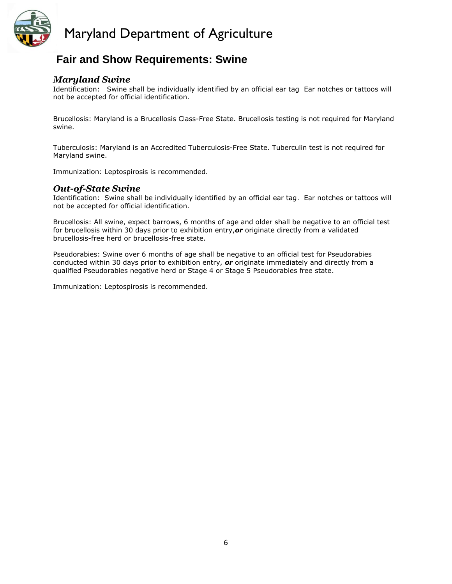

## **Fair and Show Requirements: Swine**

#### *Maryland Swine*

Identification: Swine shall be individually identified by an official ear tag Ear notches or tattoos will not be accepted for official identification.

Brucellosis: Maryland is a Brucellosis Class-Free State. Brucellosis testing is not required for Maryland swine.

Tuberculosis: Maryland is an Accredited Tuberculosis-Free State. Tuberculin test is not required for Maryland swine.

Immunization: Leptospirosis is recommended.

#### *Out-of-State Swine*

Identification: Swine shall be individually identified by an official ear tag. Ear notches or tattoos will not be accepted for official identification.

Brucellosis: All swine, expect barrows, 6 months of age and older shall be negative to an official test for brucellosis within 30 days prior to exhibition entry,*or* originate directly from a validated brucellosis-free herd or brucellosis-free state.

Pseudorabies: Swine over 6 months of age shall be negative to an official test for Pseudorabies conducted within 30 days prior to exhibition entry, *or* originate immediately and directly from a qualified Pseudorabies negative herd or Stage 4 or Stage 5 Pseudorabies free state.

Immunization: Leptospirosis is recommended.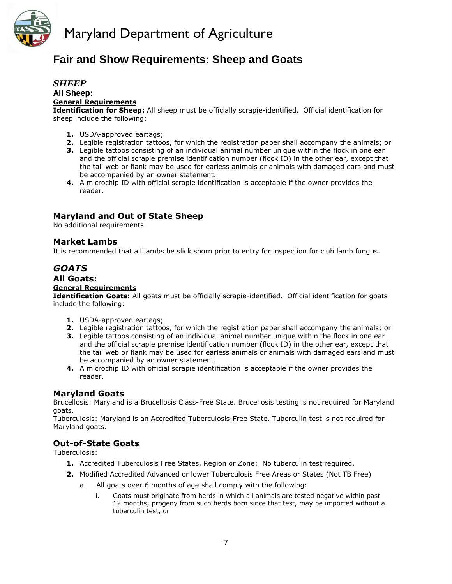

## **Fair and Show Requirements: Sheep and Goats**

#### *SHEEP* **All Sheep: [General Requirements](http://mda.maryland.gov/animalHealth/Pages/Fairs-Shows.aspx)**

**Identification for Sheep:** All sheep must be officially scrapie-identified. Official identification for sheep include the following:

- **1.** USDA-approved eartags;
- **2.** Legible registration tattoos, for which the registration paper shall accompany the animals; or
- **3.** Legible tattoos consisting of an individual animal number unique within the flock in one ear and the official scrapie premise identification number (flock ID) in the other ear, except that the tail web or flank may be used for earless animals or animals with damaged ears and must be accompanied by an owner statement.
- **4.** A microchip ID with official scrapie identification is acceptable if the owner provides the reader.

#### **Maryland and Out of State Sheep**

No additional requirements.

#### **Market Lambs**

It is recommended that all lambs be slick shorn prior to entry for inspection for club lamb fungus.

#### *GOATS* **All Goats:**

#### **[General Requirements](http://mda.maryland.gov/animalHealth/Pages/Fairs-Shows.aspx)**

**Identification Goats:** All goats must be officially scrapie-identified. Official identification for goats include the following:

- **1.** USDA-approved eartags;
- **2.** Legible registration tattoos, for which the registration paper shall accompany the animals; or
- **3.** Legible tattoos consisting of an individual animal number unique within the flock in one ear and the official scrapie premise identification number (flock ID) in the other ear, except that the tail web or flank may be used for earless animals or animals with damaged ears and must be accompanied by an owner statement.
- **4.** A microchip ID with official scrapie identification is acceptable if the owner provides the reader.

#### **Maryland Goats**

Brucellosis: Maryland is a Brucellosis Class-Free State. Brucellosis testing is not required for Maryland goats.

Tuberculosis: Maryland is an Accredited Tuberculosis-Free State. Tuberculin test is not required for Maryland goats.

#### **Out-of-State Goats**

Tuberculosis:

- **1.** Accredited Tuberculosis Free States, Region or Zone: No tuberculin test required.
- **2.** Modified Accredited Advanced or lower Tuberculosis Free Areas or States (Not TB Free)
	- a. All goats over 6 months of age shall comply with the following:
		- i. Goats must originate from herds in which all animals are tested negative within past 12 months; progeny from such herds born since that test, may be imported without a tuberculin test, or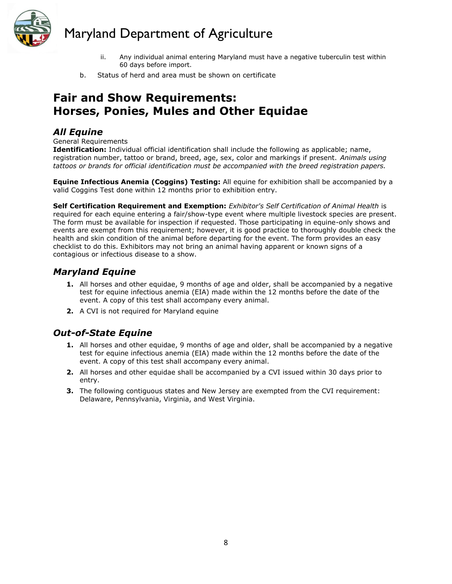

- ii. Any individual animal entering Maryland must have a negative tuberculin test within 60 days before import.
- b. Status of herd and area must be shown on certificate

## **Fair and Show Requirements: Horses, Ponies, Mules and Other Equidae**

#### *All Equine*

[General Requirements](http://mda.maryland.gov/animalHealth/Pages/Fairs-Shows.aspx)

**Identification:** Individual official identification shall include the following as applicable; name, registration number, tattoo or brand, breed, age, sex, color and markings if present. *Animals using tattoos or brands for official identification must be accompanied with the breed registration papers.*

**Equine Infectious Anemia (Coggins) Testing:** All equine for exhibition shall be accompanied by a valid Coggins Test done within 12 months prior to exhibition entry.

**Self Certification Requirement and Exemption:** *[Exhibitor's Self Certification of Animal Health](http://www.mda.state.md.us/animal_health/fair_show/pdf/equine_exhibitor_self_certification.pdf)* is required for each equine entering a fair/show-type event where multiple livestock species are present. The form must be available for inspection if requested. Those participating in equine-only shows and events are exempt from this requirement; however, it is good practice to thoroughly double check the health and skin condition of the animal before departing for the event. The form provides an easy checklist to do this. Exhibitors may not bring an animal having apparent or known signs of a contagious or infectious disease to a show.

#### *Maryland Equine*

- **1.** All horses and other equidae, 9 months of age and older, shall be accompanied by a negative test for equine infectious anemia (EIA) made within the 12 months before the date of the event. A copy of this test shall accompany every animal.
- **2.** A CVI is not required for Maryland equine

### *Out-of-State Equine*

- **1.** All horses and other equidae, 9 months of age and older, shall be accompanied by a negative test for equine infectious anemia (EIA) made within the 12 months before the date of the event. A copy of this test shall accompany every animal.
- **2.** All horses and other equidae shall be accompanied by a CVI issued within 30 days prior to entry.
- **3.** The following contiguous states and New Jersey are exempted from the CVI requirement: Delaware, Pennsylvania, Virginia, and West Virginia.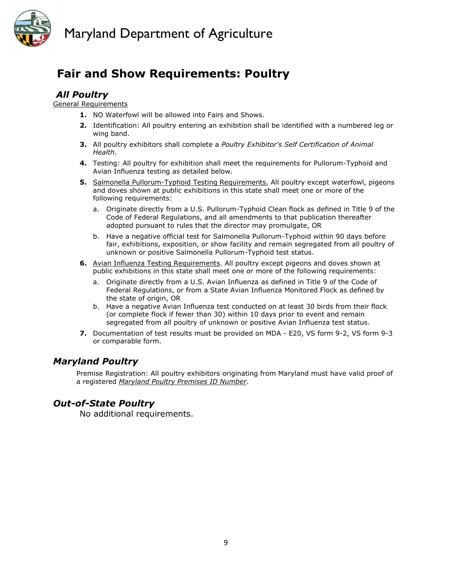



# **Fair and Show Requirements: Poultry**

### *All Poultry*

[General Requirements](http://mda.maryland.gov/animalHealth/Pages/Fairs-Shows.aspx)

- **1.** NO Waterfowl will be allowed into Fairs and Shows.
- **2.** Identification: All poultry entering an exhibition shall be identified with a numbered leg or wing band.
- **3.** All poultry exhibitors shall complete a *[Poultry Exhibitor's Self Certification of Animal](http://mda.maryland.gov/animalHealth/Forms2/poultry-exhibitor-self-certification.pdf)  [Health](http://mda.maryland.gov/animalHealth/Forms2/poultry-exhibitor-self-certification.pdf)*.
- **4.** Testing: All poultry for exhibition shall meet the requirements for Pullorum-Typhoid and Avian Influenza testing as detailed below.
- **5.** Salmonella Pullorum-Typhoid Testing Requirements. All poultry except waterfowl, pigeons and doves shown at public exhibitions in this state shall meet one or more of the following requirements:
	- a. Originate directly from a U.S. Pullorum-Typhoid Clean flock as defined in Title 9 of the Code of Federal Regulations, and all amendments to that publication thereafter adopted pursuant to rules that the director may promulgate, OR
	- b. Have a negative official test for Salmonella Pullorum-Typhoid within 90 days before fair, exhibitions, exposition, or show facility and remain segregated from all poultry of unknown or positive Salmonella Pullorum-Typhoid test status.
- **6.** Avian Influenza Testing Requirements. All poultry except pigeons and doves shown at public exhibitions in this state shall meet one or more of the following requirements:
	- a. Originate directly from a U.S. Avian Influenza as defined in Title 9 of the Code of Federal Regulations, or from a State Avian Influenza Monitored Flock as defined by the state of origin, OR
	- b. Have a negative Avian Influenza test conducted on at least 30 birds from their flock (or complete flock if fewer than 30) within 10 days prior to event and remain segregated from all poultry of unknown or positive Avian Influenza test status.
- **7.** Documentation of test results must be provided on MDA E20, VS form 9-2, VS form 9-3 or comparable form.

### *Maryland Poultry*

Premise Registration: All poultry exhibitors originating from Maryland must have valid proof of a registered *[Maryland Poultry Premises ID Number](http://mda.maryland.gov/animalHealth/Pages/poultry-reg-faq.aspx)*.

### *Out-of-State Poultry*

No additional requirements.